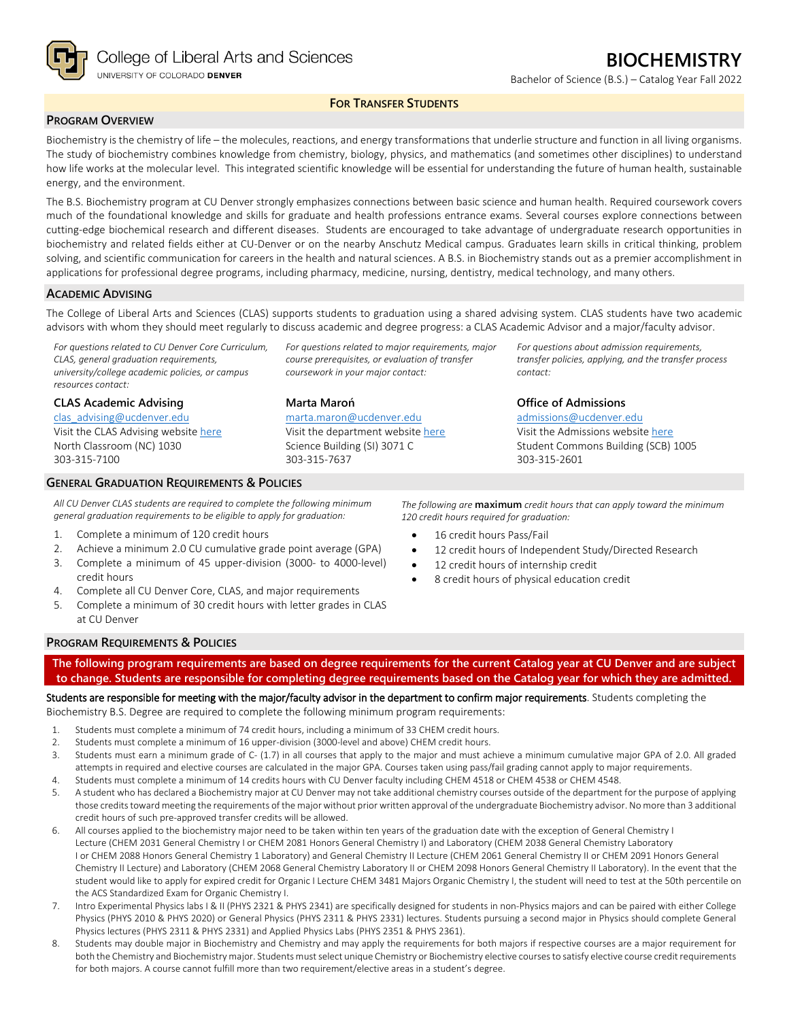

Bachelor of Science (B.S.) – Catalog Year Fall 2022

*For questions about admission requirements, transfer policies, applying, and the transfer process* 

# **FOR TRANSFER STUDENTS**

# **PROGRAM OVERVIEW**

Biochemistry is the chemistry of life – the molecules, reactions, and energy transformations that underlie structure and function in all living organisms. The study of biochemistry combines knowledge from chemistry, biology, physics, and mathematics (and sometimes other disciplines) to understand how life works at the molecular level. This integrated scientific knowledge will be essential for understanding the future of human health, sustainable energy, and the environment.

The B.S. Biochemistry program at CU Denver strongly emphasizes connections between basic science and human health. Required coursework covers much of the foundational knowledge and skills for graduate and health professions entrance exams. Several courses explore connections between cutting-edge biochemical research and different diseases. Students are encouraged to take advantage of undergraduate research opportunities in biochemistry and related fields either at CU-Denver or on the nearby Anschutz Medical campus. Graduates learn skills in critical thinking, problem solving, and scientific communication for careers in the health and natural sciences. A B.S. in Biochemistry stands out as a premier accomplishment in applications for professional degree programs, including pharmacy, medicine, nursing, dentistry, medical technology, and many others.

## **ACADEMIC ADVISING**

The College of Liberal Arts and Sciences (CLAS) supports students to graduation using a shared advising system. CLAS students have two academic advisors with whom they should meet regularly to discuss academic and degree progress: a CLAS Academic Advisor and a major/faculty advisor.

> *For questions related to major requirements, major course prerequisites, or evaluation of transfer*

*coursework in your major contact:*

[marta.maron@ucdenver.edu](mailto:marta.maron@ucdenver.edu) Visit the department website [here](https://clas.ucdenver.edu/chemistry/) Science Building (SI) 3071 C

**Marta Maroń**

303-315-7637

*For questions related to CU Denver Core Curriculum, CLAS, general graduation requirements, university/college academic policies, or campus resources contact:*

**CLAS Academic Advising** [clas\\_advising@ucdenver.edu](mailto:clas_advising@ucdenver.edu)

Visit the CLAS Advising websit[e here](https://clas.ucdenver.edu/advising/) North Classroom (NC) 1030 303-315-7100

## **GENERAL GRADUATION REQUIREMENTS & POLICIES**

*All CU Denver CLAS students are required to complete the following minimum general graduation requirements to be eligible to apply for graduation:*

- 1. Complete a minimum of 120 credit hours
- 2. Achieve a minimum 2.0 CU cumulative grade point average (GPA)
- 3. Complete a minimum of 45 upper-division (3000- to 4000-level) credit hours
- 4. Complete all CU Denver Core, CLAS, and major requirements
- 5. Complete a minimum of 30 credit hours with letter grades in CLAS at CU Denver

303-315-2601

**Office of Admissions** [admissions@ucdenver.edu](mailto:admissions@ucdenver.edu) Visit the Admissions website [here](http://www.ucdenver.edu/admissions/Pages/index.aspx) Student Commons Building (SCB) 1005

*contact:*

*The following are* **maximum** *credit hours that can apply toward the minimum 120 credit hours required for graduation:*

- 16 credit hours Pass/Fail
- 12 credit hours of Independent Study/Directed Research
- 12 credit hours of internship credit
- 8 credit hours of physical education credit

## **PROGRAM REQUIREMENTS & POLICIES**

**The following program requirements are based on degree requirements for the current Catalog year at CU Denver and are subject to change. Students are responsible for completing degree requirements based on the Catalog year for which they are admitted.**

Students are responsible for meeting with the major/faculty advisor in the department to confirm major requirements. Students completing the Biochemistry B.S. Degree are required to complete the following minimum program requirements:

- 1. Students must complete a minimum of 74 credit hours, including a minimum of 33 CHEM credit hours.
- 2. Students must complete a minimum of 16 upper-division (3000-level and above) CHEM credit hours.
- 3. Students must earn a minimum grade of C- (1.7) in all courses that apply to the major and must achieve a minimum cumulative major GPA of 2.0. All graded attempts in required and elective courses are calculated in the major GPA. Courses taken using pass/fail grading cannot apply to major requirements.
- 4. Students must complete a minimum of 14 credits hours with CU Denver faculty including CHEM 4518 or CHEM 4538 or CHEM 4548.
- 5. A student who has declared a Biochemistry major at CU Denver may not take additional chemistry courses outside of the department for the purpose of applying those credits toward meeting the requirements of the major without prior written approval of the undergraduate Biochemistry advisor. No more than 3 additional credit hours of such pre-approved transfer credits will be allowed.
- 6. All courses applied to the biochemistry major need to be taken within ten years of the graduation date with the exception of General Chemistry I Lecture (CHEM 2031 General Chemistry I or CHEM 2081 Honors General Chemistry I) and Laboratory (CHEM 2038 General Chemistry Laboratory I or CHEM 2088 Honors General Chemistry 1 Laboratory) and General Chemistry II Lecture (CHEM 2061 General Chemistry II or CHEM 2091 Honors General Chemistry II Lecture) and Laboratory (CHEM 2068 General Chemistry Laboratory II or CHEM 2098 Honors General Chemistry II Laboratory). In the event that the student would like to apply for expired credit for Organic I Lecture CHEM 3481 Majors Organic Chemistry I, the student will need to test at the 50th percentile on the ACS Standardized Exam for Organic Chemistry I.
- 7. Intro Experimental Physics labs I & II (PHYS 2321 & PHYS 2341) are specifically designed for students in non-Physics majors and can be paired with either College Physics (PHYS 2010 & PHYS 2020) or General Physics (PHYS 2311 & PHYS 2331) lectures. Students pursuing a second major in Physics should complete General Physics lectures (PHYS 2311 & PHYS 2331) and Applied Physics Labs (PHYS 2351 & PHYS 2361).
- 8. Students may double major in Biochemistry and Chemistry and may apply the requirements for both majors if respective courses are a major requirement for both the Chemistry and Biochemistry major. Students must select unique Chemistry or Biochemistry elective courses to satisfy elective course credit requirements for both majors. A course cannot fulfill more than two requirement/elective areas in a student's degree.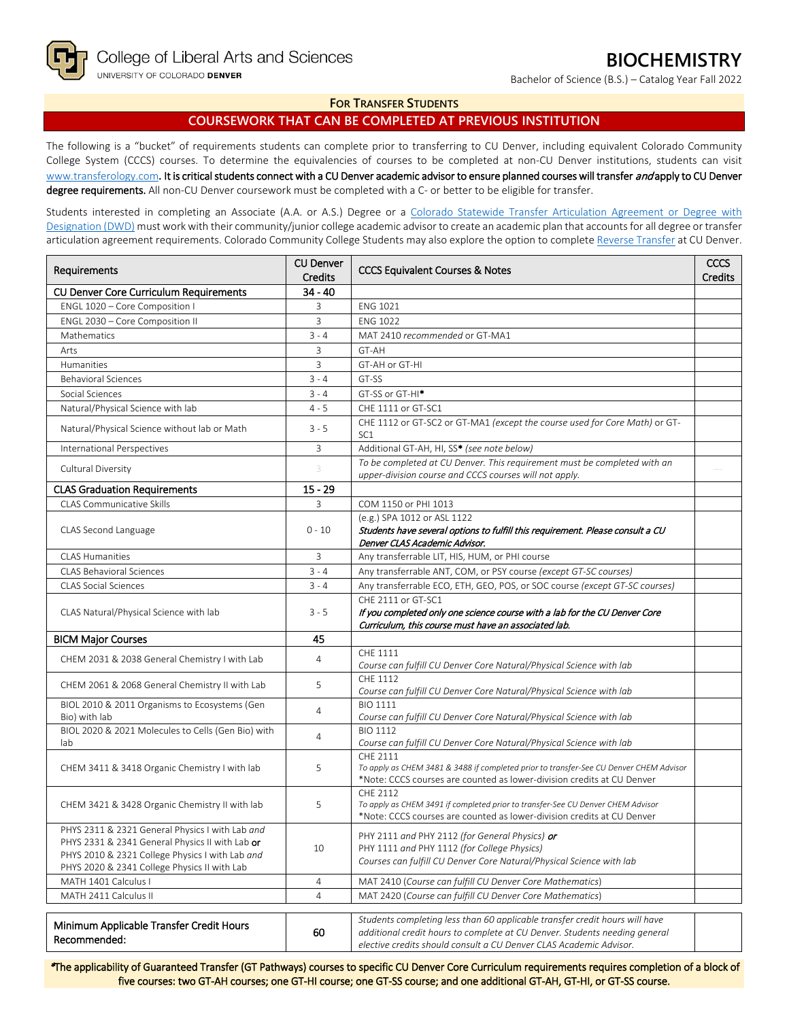Bachelor of Science (B.S.) – Catalog Year Fall 2022

## **FOR TRANSFER STUDENTS**

**COURSEWORK THAT CAN BE COMPLETED AT PREVIOUS INSTITUTION**

The following is a "bucket" of requirements students can complete prior to transferring to CU Denver, including equivalent Colorado Community College System (CCCS) courses. To determine the equivalencies of courses to be completed at non-CU Denver institutions, students can visit [www.transferology.com](http://www.transferology.com/)**.** It is critical students connect with a CU Denver academic advisor to ensure planned courses will transfer and apply to CU Denver degree requirements. All non-CU Denver coursework must be completed with a C- or better to be eligible for transfer.

Students interested in completing an Associate (A.A. or A.S.) Degree or a Colorado Statewide Transfer Articulation Agreement or Degree with [Designation \(DWD\)](https://highered.colorado.gov/transfer-degrees) must work with their community/junior college academic advisor to create an academic plan that accounts for all degree or transfer articulation agreement requirements. Colorado Community College Students may also explore the option to complet[e Reverse Transfer](https://highered.colorado.gov/students/attending-college/colorado-reverse-transfer) at CU Denver.

| Requirements                                              | <b>CU Denver</b> | <b>CCCS Equivalent Courses &amp; Notes</b>                                                                                                                            |  |
|-----------------------------------------------------------|------------------|-----------------------------------------------------------------------------------------------------------------------------------------------------------------------|--|
|                                                           | <b>Credits</b>   |                                                                                                                                                                       |  |
| CU Denver Core Curriculum Requirements                    | $34 - 40$        |                                                                                                                                                                       |  |
| ENGL 1020 - Core Composition I                            | 3                | <b>ENG 1021</b>                                                                                                                                                       |  |
| ENGL 2030 - Core Composition II                           | 3                | <b>ENG 1022</b>                                                                                                                                                       |  |
| Mathematics                                               | $3 - 4$          | MAT 2410 recommended or GT-MA1                                                                                                                                        |  |
| Arts                                                      | 3                | GT-AH                                                                                                                                                                 |  |
| Humanities                                                | 3                | GT-AH or GT-HI                                                                                                                                                        |  |
| <b>Behavioral Sciences</b>                                | $3 - 4$          | GT-SS                                                                                                                                                                 |  |
| Social Sciences                                           | $3 - 4$          | GT-SS or GT-HI <sup>*</sup>                                                                                                                                           |  |
| Natural/Physical Science with lab                         | $4 - 5$          | CHE 1111 or GT-SC1                                                                                                                                                    |  |
| Natural/Physical Science without lab or Math              | $3 - 5$          | CHE 1112 or GT-SC2 or GT-MA1 (except the course used for Core Math) or GT-<br>SC <sub>1</sub>                                                                         |  |
| International Perspectives                                | 3                | Additional GT-AH, HI, SS* (see note below)                                                                                                                            |  |
| Cultural Diversity                                        | 3                | To be completed at CU Denver. This requirement must be completed with an<br>upper-division course and CCCS courses will not apply.                                    |  |
| <b>CLAS Graduation Requirements</b>                       | $15 - 29$        |                                                                                                                                                                       |  |
| <b>CLAS Communicative Skills</b>                          | 3                | COM 1150 or PHI 1013                                                                                                                                                  |  |
|                                                           |                  | (e.g.) SPA 1012 or ASL 1122                                                                                                                                           |  |
| CLAS Second Language                                      | $0 - 10$         | Students have several options to fulfill this requirement. Please consult a CU                                                                                        |  |
|                                                           |                  | Denver CLAS Academic Advisor.                                                                                                                                         |  |
| <b>CLAS Humanities</b>                                    | 3                | Any transferrable LIT, HIS, HUM, or PHI course                                                                                                                        |  |
| <b>CLAS Behavioral Sciences</b>                           | $3 - 4$          | Any transferrable ANT, COM, or PSY course (except GT-SC courses)                                                                                                      |  |
| <b>CLAS Social Sciences</b>                               | $3 - 4$          | Any transferrable ECO, ETH, GEO, POS, or SOC course (except GT-SC courses)                                                                                            |  |
|                                                           |                  | CHF 2111 or GT-SC1                                                                                                                                                    |  |
| CLAS Natural/Physical Science with lab<br>$3 - 5$         |                  | If you completed only one science course with a lab for the CU Denver Core<br>Curriculum, this course must have an associated lab.                                    |  |
| <b>BICM Major Courses</b>                                 | 45               |                                                                                                                                                                       |  |
| CHEM 2031 & 2038 General Chemistry I with Lab             | $\overline{4}$   | CHE 1111                                                                                                                                                              |  |
|                                                           |                  | Course can fulfill CU Denver Core Natural/Physical Science with lab                                                                                                   |  |
| CHEM 2061 & 2068 General Chemistry II with Lab            | 5                | CHE 1112<br>Course can fulfill CU Denver Core Natural/Physical Science with lab                                                                                       |  |
| BIOL 2010 & 2011 Organisms to Ecosystems (Gen             | $\overline{4}$   | <b>BIO 1111</b>                                                                                                                                                       |  |
| Bio) with lab                                             |                  | Course can fulfill CU Denver Core Natural/Physical Science with lab                                                                                                   |  |
| BIOL 2020 & 2021 Molecules to Cells (Gen Bio) with<br>lab | 4                | <b>BIO 1112</b><br>Course can fulfill CU Denver Core Natural/Physical Science with lab                                                                                |  |
| CHEM 3411 & 3418 Organic Chemistry I with lab             | 5                | CHF 2111<br>To apply as CHEM 3481 & 3488 if completed prior to transfer-See CU Denver CHEM Advisor                                                                    |  |
|                                                           |                  | *Note: CCCS courses are counted as lower-division credits at CU Denver                                                                                                |  |
| CHEM 3421 & 3428 Organic Chemistry II with lab            | 5                | CHE 2112<br>To apply as CHEM 3491 if completed prior to transfer-See CU Denver CHEM Advisor<br>*Note: CCCS courses are counted as lower-division credits at CU Denver |  |
| PHYS 2311 & 2321 General Physics I with Lab and           |                  |                                                                                                                                                                       |  |
| PHYS 2331 & 2341 General Physics II with Lab or           |                  | PHY 2111 and PHY 2112 (for General Physics) <b>or</b>                                                                                                                 |  |
| PHYS 2010 & 2321 College Physics I with Lab and           | 10               | PHY 1111 and PHY 1112 (for College Physics)<br>Courses can fulfill CU Denver Core Natural/Physical Science with lab                                                   |  |
| PHYS 2020 & 2341 College Physics II with Lab              |                  |                                                                                                                                                                       |  |
| MATH 1401 Calculus I                                      | 4                | MAT 2410 (Course can fulfill CU Denver Core Mathematics)                                                                                                              |  |
| MATH 2411 Calculus II                                     | $\overline{4}$   | MAT 2420 (Course can fulfill CU Denver Core Mathematics)                                                                                                              |  |
|                                                           |                  |                                                                                                                                                                       |  |
| Minimum Applicable Transfer Credit Hours                  | 60               | Students completing less than 60 applicable transfer credit hours will have<br>additional credit hours to complete at CU Denver. Students needing general             |  |
| Recommended:                                              |                  | elective credits should consult a CU Denver CLAS Academic Advisor.                                                                                                    |  |

\*The applicability of Guaranteed Transfer (GT Pathways) courses to specific CU Denver Core Curriculum requirements requires completion of a block of five courses: two GT-AH courses; one GT-HI course; one GT-SS course; and one additional GT-AH, GT-HI, or GT-SS course.